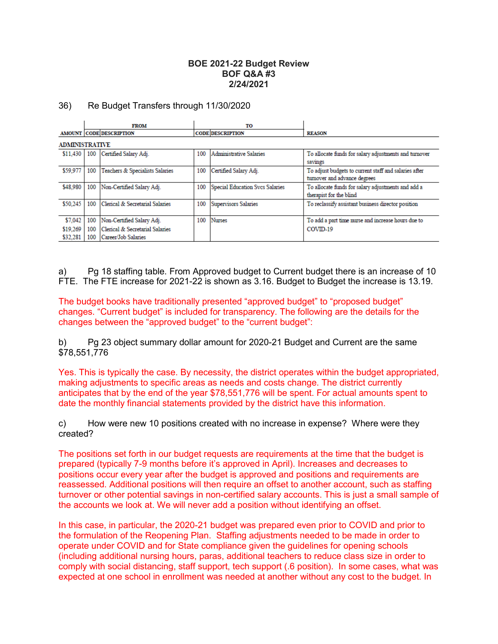### **BOE 2021-22 Budget Review BOF Q&A #3 2/24/2021**

#### 36) Re Budget Transfers through 11/30/2020

|                       | <b>FROM</b> |                                 |     | то                              |                                                                                      |  |  |  |  |
|-----------------------|-------------|---------------------------------|-----|---------------------------------|--------------------------------------------------------------------------------------|--|--|--|--|
|                       |             | AMOUNT CODE DESCRIPTION         |     | <b>CODE DESCRIPTION</b>         | <b>REASON</b>                                                                        |  |  |  |  |
| <b>ADMINISTRATIVE</b> |             |                                 |     |                                 |                                                                                      |  |  |  |  |
| \$11,430              | 100         | Certified Salary Adj.           | 100 | Administrative Salaries         | To allocate funds for salary adjustments and turnover<br>savings                     |  |  |  |  |
| \$59,977              | 100         | Teachers & Specialists Salaries | 100 | Certified Salary Adj.           | To adjust budgets to current staff and salaries after<br>tumover and advance degrees |  |  |  |  |
| \$48,980              | 100         | Non-Certified Salary Adj.       | 100 | Special Education Svcs Salaries | To allocate funds for salary adjustments and add a<br>therapist for the blind        |  |  |  |  |
| \$50.245              | 100         | Clerical & Secretarial Salaries | 100 | <b>Supervisors Salaries</b>     | To reclassify assistant business director position                                   |  |  |  |  |
| \$7,042               | 100         | Non-Certified Salary Adj.       | 100 | <b>Nurses</b>                   | To add a part time nurse and increase hours due to                                   |  |  |  |  |
| \$19,269              | 100         | Clerical & Secretarial Salaries |     |                                 | COVID-19                                                                             |  |  |  |  |
| \$32,281              | 100         | Career/Job Salaries             |     |                                 |                                                                                      |  |  |  |  |

a) Pg 18 staffing table. From Approved budget to Current budget there is an increase of 10 FTE. The FTE increase for 2021-22 is shown as 3.16. Budget to Budget the increase is 13.19.

The budget books have traditionally presented "approved budget" to "proposed budget" changes. "Current budget" is included for transparency. The following are the details for the changes between the "approved budget" to the "current budget":

b) Pg 23 object summary dollar amount for 2020-21 Budget and Current are the same \$78,551,776

Yes. This is typically the case. By necessity, the district operates within the budget appropriated, making adjustments to specific areas as needs and costs change. The district currently anticipates that by the end of the year \$78,551,776 will be spent. For actual amounts spent to date the monthly financial statements provided by the district have this information.

c) How were new 10 positions created with no increase in expense? Where were they created?

The positions set forth in our budget requests are requirements at the time that the budget is prepared (typically 7-9 months before it's approved in April). Increases and decreases to positions occur every year after the budget is approved and positions and requirements are reassessed. Additional positions will then require an offset to another account, such as staffing turnover or other potential savings in non-certified salary accounts. This is just a small sample of the accounts we look at. We will never add a position without identifying an offset.

In this case, in particular, the 2020-21 budget was prepared even prior to COVID and prior to the formulation of the Reopening Plan. Staffing adjustments needed to be made in order to operate under COVID and for State compliance given the guidelines for opening schools (including additional nursing hours, paras, additional teachers to reduce class size in order to comply with social distancing, staff support, tech support (.6 position). In some cases, what was expected at one school in enrollment was needed at another without any cost to the budget. In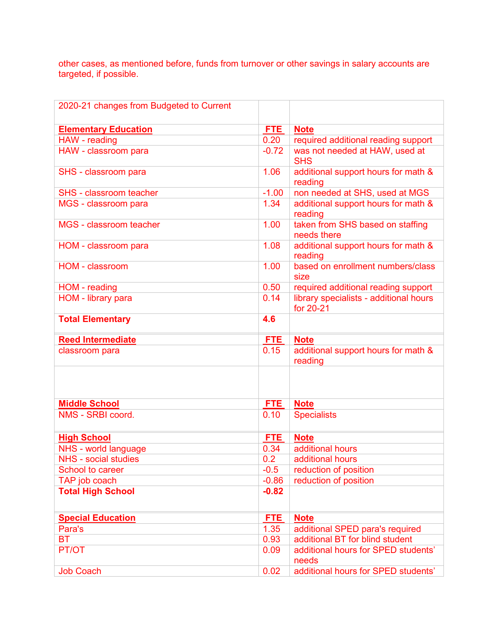other cases, as mentioned before, funds from turnover or other savings in salary accounts are targeted, if possible.

| 2020-21 changes from Budgeted to Current |         |                                                                               |
|------------------------------------------|---------|-------------------------------------------------------------------------------|
|                                          |         |                                                                               |
| <b>Elementary Education</b>              | FTE.    | <b>Note</b>                                                                   |
| HAW - reading                            | 0.20    | required additional reading support                                           |
| HAW - classroom para                     | $-0.72$ | was not needed at HAW, used at                                                |
|                                          |         | <b>SHS</b>                                                                    |
| SHS - classroom para                     | 1.06    | additional support hours for math &                                           |
|                                          |         | reading                                                                       |
| <b>SHS - classroom teacher</b>           | $-1.00$ | non needed at SHS, used at MGS                                                |
| MGS - classroom para                     | 1.34    | additional support hours for math &<br>reading                                |
| MGS - classroom teacher                  | 1.00    | taken from SHS based on staffing<br>needs there                               |
| HOM - classroom para                     | 1.08    | additional support hours for math &                                           |
|                                          |         | reading                                                                       |
| HOM - classroom                          | 1.00    | based on enrollment numbers/class                                             |
|                                          | 0.50    | size                                                                          |
| HOM - reading<br>HOM - library para      | 0.14    | required additional reading support<br>library specialists - additional hours |
|                                          |         | for 20-21                                                                     |
| <b>Total Elementary</b>                  | 4.6     |                                                                               |
| <b>Reed Intermediate</b>                 | FTE.    | <b>Note</b>                                                                   |
| classroom para                           | 0.15    | additional support hours for math &                                           |
|                                          |         | reading                                                                       |
|                                          |         |                                                                               |
|                                          |         |                                                                               |
| <b>Middle School</b>                     | FTE.    | <b>Note</b>                                                                   |
| NMS - SRBI coord.                        | 0.10    | <b>Specialists</b>                                                            |
|                                          |         |                                                                               |
| <b>High School</b>                       | FTE.    | <b>Note</b>                                                                   |
| NHS - world language                     | 0.34    | additional hours                                                              |
| <b>NHS</b> - social studies              | 0.2     | additional hours                                                              |
| School to career                         | $-0.5$  | reduction of position                                                         |
| TAP job coach                            | $-0.86$ | reduction of position                                                         |
| <b>Total High School</b>                 | $-0.82$ |                                                                               |
|                                          |         |                                                                               |
| <b>Special Education</b>                 | FTE.    | <b>Note</b>                                                                   |
| Para's                                   | 1.35    | additional SPED para's required                                               |
| <b>BT</b>                                | 0.93    | additional BT for blind student                                               |
| PT/OT                                    | 0.09    | additional hours for SPED students'                                           |
|                                          |         | needs                                                                         |
| <b>Job Coach</b>                         | 0.02    | additional hours for SPED students'                                           |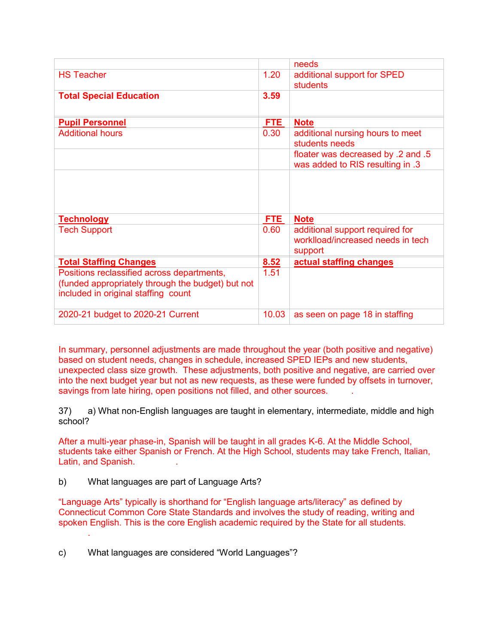|                                                                                                                                        |       | needs                                                                           |
|----------------------------------------------------------------------------------------------------------------------------------------|-------|---------------------------------------------------------------------------------|
| <b>HS Teacher</b>                                                                                                                      | 1.20  | additional support for SPED<br>students                                         |
| <b>Total Special Education</b>                                                                                                         | 3.59  |                                                                                 |
| <b>Pupil Personnel</b>                                                                                                                 | FTE.  | <b>Note</b>                                                                     |
| <b>Additional hours</b>                                                                                                                | 0.30  | additional nursing hours to meet<br>students needs                              |
|                                                                                                                                        |       | floater was decreased by .2 and .5<br>was added to RIS resulting in .3          |
|                                                                                                                                        |       |                                                                                 |
| <b>Technology</b>                                                                                                                      | FTE   | <b>Note</b>                                                                     |
| <b>Tech Support</b>                                                                                                                    | 0.60  | additional support required for<br>worklload/increased needs in tech<br>support |
| <b>Total Staffing Changes</b>                                                                                                          | 8.52  | actual staffing changes                                                         |
| Positions reclassified across departments,<br>(funded appropriately through the budget) but not<br>included in original staffing count | 1.51  |                                                                                 |
| 2020-21 budget to 2020-21 Current                                                                                                      | 10.03 | as seen on page 18 in staffing                                                  |

In summary, personnel adjustments are made throughout the year (both positive and negative) based on student needs, changes in schedule, increased SPED IEPs and new students, unexpected class size growth. These adjustments, both positive and negative, are carried over into the next budget year but not as new requests, as these were funded by offsets in turnover, savings from late hiring, open positions not filled, and other sources.

37) a) What non-English languages are taught in elementary, intermediate, middle and high school?

After a multi-year phase-in, Spanish will be taught in all grades K-6. At the Middle School, students take either Spanish or French. At the High School, students may take French, Italian, Latin, and Spanish.

b) What languages are part of Language Arts?

.

"Language Arts" typically is shorthand for "English language arts/literacy" as defined by Connecticut Common Core State Standards and involves the study of reading, writing and spoken English. This is the core English academic required by the State for all students.

c) What languages are considered "World Languages"?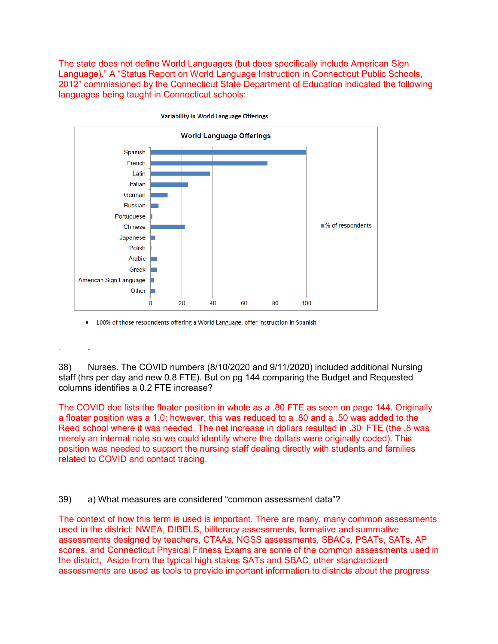The state does not define World Languages (but does specifically include American Sign Language)." A "Status Report on World Language Instruction in Connecticut Public Schools, 2012" commissioned by the Connecticut State Department of Education indicated the following languages being taught in Connecticut schools:



100% of those respondents offering a World Language, offer instruction in Spanish

. .

38) Nurses. The COVID numbers (8/10/2020 and 9/11/2020) included additional Nursing staff (hrs per day and new 0.8 FTE). But on pg 144 comparing the Budget and Requested columns identifies a 0.2 FTE increase?

The COVID doc lists the floater position in whole as a .80 FTE as seen on page 144. Originally a floater position was a 1.0; however, this was reduced to a .80 and a .50 was added to the Reed school where it was needed. The net increase in dollars resulted in .30 FTE (the .8 was merely an internal note so we could identify where the dollars were originally coded). This position was needed to support the nursing staff dealing directly with students and families related to COVID and contact tracing.

39) a) What measures are considered "common assessment data"?

The context of how this term is used is important. There are many, many common assessments used in the district: NWEA, DIBELS, biliteracy assessments, formative and summative assessments designed by teachers, CTAAs, NGSS assessments, SBACs, PSATs, SATs, AP scores, and Connecticut Physical Fitness Exams are some of the common assessments used in the district, Aside from the typical high stakes SATs and SBAC, other standardized assessments are used as tools to provide important information to districts about the progress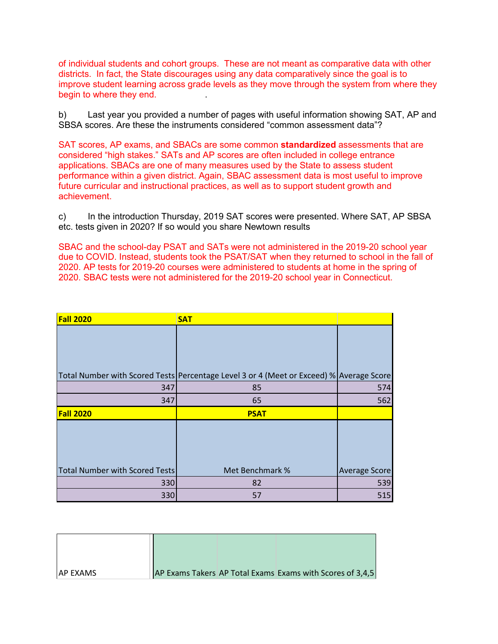of individual students and cohort groups. These are not meant as comparative data with other districts. In fact, the State discourages using any data comparatively since the goal is to improve student learning across grade levels as they move through the system from where they begin to where they end.

b) Last year you provided a number of pages with useful information showing SAT, AP and SBSA scores. Are these the instruments considered "common assessment data"?

SAT scores, AP exams, and SBACs are some common **standardized** assessments that are considered "high stakes." SATs and AP scores are often included in college entrance applications. SBACs are one of many measures used by the State to assess student performance within a given district. Again, SBAC assessment data is most useful to improve future curricular and instructional practices, as well as to support student growth and achievement.

c) In the introduction Thursday, 2019 SAT scores were presented. Where SAT, AP SBSA etc. tests given in 2020? If so would you share Newtown results

SBAC and the school-day PSAT and SATs were not administered in the 2019-20 school year due to COVID. Instead, students took the PSAT/SAT when they returned to school in the fall of 2020. AP tests for 2019-20 courses were administered to students at home in the spring of 2020. SBAC tests were not administered for the 2019-20 school year in Connecticut.

| <b>Fall 2020</b>                      | <b>SAT</b>                                                                              |               |
|---------------------------------------|-----------------------------------------------------------------------------------------|---------------|
|                                       |                                                                                         |               |
|                                       |                                                                                         |               |
|                                       |                                                                                         |               |
|                                       | Total Number with Scored Tests Percentage Level 3 or 4 (Meet or Exceed) % Average Score |               |
| 347                                   | 85                                                                                      | 574           |
| 347                                   | 65                                                                                      | 562           |
|                                       |                                                                                         |               |
| <b>Fall 2020</b>                      | <b>PSAT</b>                                                                             |               |
|                                       |                                                                                         |               |
|                                       |                                                                                         |               |
|                                       |                                                                                         |               |
|                                       |                                                                                         |               |
|                                       | Met Benchmark %                                                                         | Average Score |
| Total Number with Scored Tests<br>330 | 82                                                                                      | 539           |

| <b>JAP EXAMS</b> |  | AP Exams Takers AP Total Exams Exams with Scores of 3,4,5 |
|------------------|--|-----------------------------------------------------------|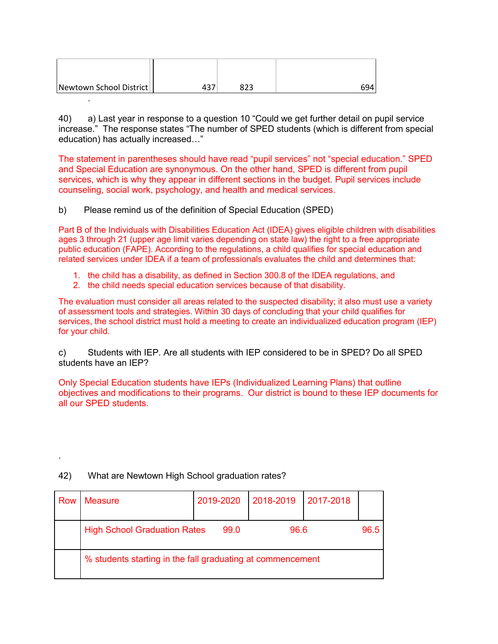| Newtown School District | 823 | 694 |
|-------------------------|-----|-----|

40) a) Last year in response to a question 10 "Could we get further detail on pupil service increase." The response states "The number of SPED students (which is different from special education) has actually increased…"

The statement in parentheses should have read "pupil services" not "special education." SPED and Special Education are synonymous. On the other hand, SPED is different from pupil services, which is why they appear in different sections in the budget. Pupil services include counseling, social work, psychology, and health and medical services.

b) Please remind us of the definition of Special Education (SPED)

.

.

Part B of the Individuals with Disabilities Education Act (IDEA) gives eligible children with disabilities ages 3 through 21 (upper age limit varies depending on state law) the right to a free appropriate public education (FAPE). According to the regulations, a child qualifies for special education and related services under IDEA if a team of professionals evaluates the child and determines that:

- 1. the child has a disability, as defined in Section 300.8 of the IDEA regulations, and
- 2. the child needs special education services because of that disability.

The evaluation must consider all areas related to the suspected disability; it also must use a variety of assessment tools and strategies. Within 30 days of concluding that your child qualifies for services, the school district must hold a meeting to create an individualized education program (IEP) for your child.

c) Students with IEP. Are all students with IEP considered to be in SPED? Do all SPED students have an IEP?

Only Special Education students have IEPs (Individualized Learning Plans) that outline objectives and modifications to their programs. Our district is bound to these IEP documents for all our SPED students.

| Row | Measure                                                    | 2019-2020 |      | 2018-2019 | 2017-2018 |      |
|-----|------------------------------------------------------------|-----------|------|-----------|-----------|------|
|     | <b>High School Graduation Rates</b>                        |           | 99.0 | 96.6      |           | 96.5 |
|     | % students starting in the fall graduating at commencement |           |      |           |           |      |

# 42) What are Newtown High School graduation rates?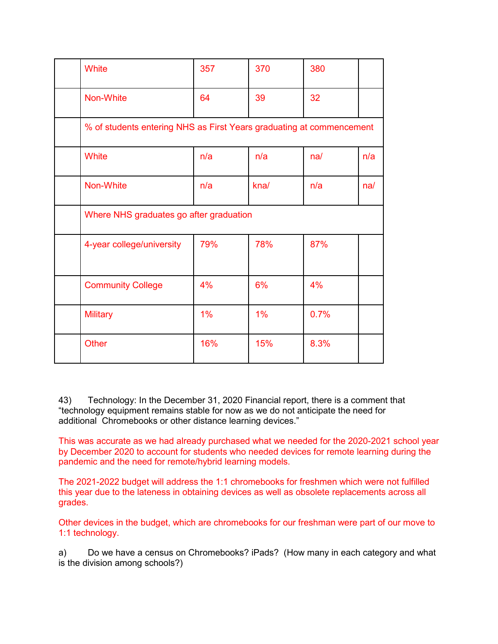| White                                                                | 357 | 370  | 380  |     |  |  |  |  |  |
|----------------------------------------------------------------------|-----|------|------|-----|--|--|--|--|--|
| Non-White                                                            | 64  | 39   | 32   |     |  |  |  |  |  |
| % of students entering NHS as First Years graduating at commencement |     |      |      |     |  |  |  |  |  |
| White                                                                | n/a | n/a  | na/  | n/a |  |  |  |  |  |
| Non-White                                                            | n/a | kna/ | n/a  | na/ |  |  |  |  |  |
| Where NHS graduates go after graduation                              |     |      |      |     |  |  |  |  |  |
| 4-year college/university                                            | 79% | 78%  | 87%  |     |  |  |  |  |  |
| <b>Community College</b>                                             | 4%  | 6%   | 4%   |     |  |  |  |  |  |
| <b>Military</b>                                                      | 1%  | 1%   | 0.7% |     |  |  |  |  |  |
| <b>Other</b>                                                         | 16% | 15%  | 8.3% |     |  |  |  |  |  |

43) Technology: In the December 31, 2020 Financial report, there is a comment that "technology equipment remains stable for now as we do not anticipate the need for additional Chromebooks or other distance learning devices."

This was accurate as we had already purchased what we needed for the 2020-2021 school year by December 2020 to account for students who needed devices for remote learning during the pandemic and the need for remote/hybrid learning models.

The 2021-2022 budget will address the 1:1 chromebooks for freshmen which were not fulfilled this year due to the lateness in obtaining devices as well as obsolete replacements across all grades.

Other devices in the budget, which are chromebooks for our freshman were part of our move to 1:1 technology.

a) Do we have a census on Chromebooks? iPads? (How many in each category and what is the division among schools?)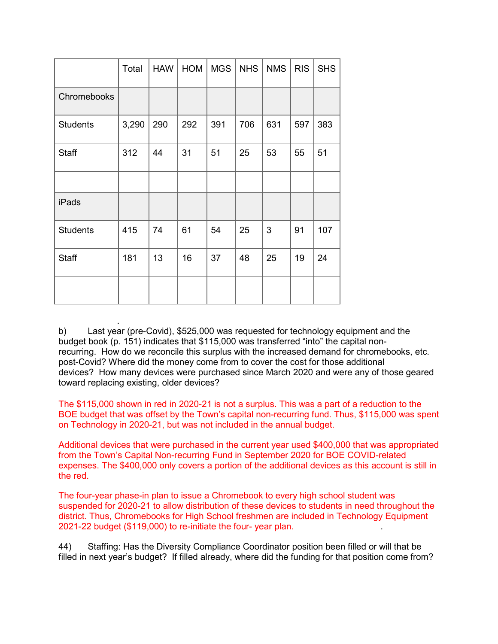|                 | Total | <b>HAW</b> | <b>HOM</b> | <b>MGS</b> | <b>NHS</b> | <b>NMS</b> | <b>RIS</b> | <b>SHS</b> |
|-----------------|-------|------------|------------|------------|------------|------------|------------|------------|
| Chromebooks     |       |            |            |            |            |            |            |            |
| <b>Students</b> | 3,290 | 290        | 292        | 391        | 706        | 631        | 597        | 383        |
| Staff           | 312   | 44         | 31         | 51         | 25         | 53         | 55         | 51         |
|                 |       |            |            |            |            |            |            |            |
| iPads           |       |            |            |            |            |            |            |            |
| <b>Students</b> | 415   | 74         | 61         | 54         | 25         | 3          | 91         | 107        |
| Staff           | 181   | 13         | 16         | 37         | 48         | 25         | 19         | 24         |
|                 |       |            |            |            |            |            |            |            |

 . b) Last year (pre-Covid), \$525,000 was requested for technology equipment and the budget book (p. 151) indicates that \$115,000 was transferred "into" the capital nonrecurring. How do we reconcile this surplus with the increased demand for chromebooks, etc. post-Covid? Where did the money come from to cover the cost for those additional devices? How many devices were purchased since March 2020 and were any of those geared toward replacing existing, older devices?

The \$115,000 shown in red in 2020-21 is not a surplus. This was a part of a reduction to the BOE budget that was offset by the Town's capital non-recurring fund. Thus, \$115,000 was spent on Technology in 2020-21, but was not included in the annual budget.

Additional devices that were purchased in the current year used \$400,000 that was appropriated from the Town's Capital Non-recurring Fund in September 2020 for BOE COVID-related expenses. The \$400,000 only covers a portion of the additional devices as this account is still in the red.

The four-year phase-in plan to issue a Chromebook to every high school student was suspended for 2020-21 to allow distribution of these devices to students in need throughout the district. Thus, Chromebooks for High School freshmen are included in Technology Equipment 2021-22 budget (\$119,000) to re-initiate the four- year plan. .

44) Staffing: Has the Diversity Compliance Coordinator position been filled or will that be filled in next year's budget? If filled already, where did the funding for that position come from?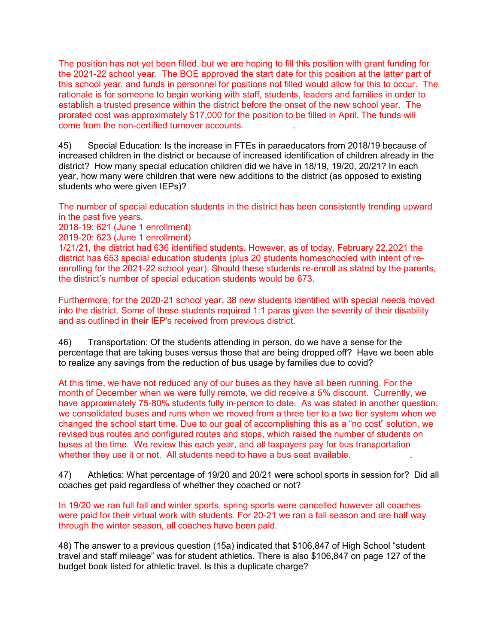The position has not yet been filled, but we are hoping to fill this position with grant funding for the 2021-22 school year. The BOE approved the start date for this position at the latter part of this school year, and funds in personnel for positions not filled would allow for this to occur. The rationale is for someone to begin working with staff, students, leaders and families in order to establish a trusted presence within the district before the onset of the new school year. The prorated cost was approximately \$17,000 for the position to be filled in April. The funds will come from the non-certified turnover accounts. .

45) Special Education: Is the increase in FTEs in paraeducators from 2018/19 because of increased children in the district or because of increased identification of children already in the district? How many special education children did we have in 18/19, 19/20, 20/21? In each year, how many were children that were new additions to the district (as opposed to existing students who were given IEPs)?

The number of special education students in the district has been consistently trending upward in the past five years.

2018-19: 621 (June 1 enrollment)

2019-20: 623 (June 1 enrollment)

1/21/21, the district had 636 identified students. However, as of today, February 22,2021 the district has 653 special education students (plus 20 students homeschooled with intent of reenrolling for the 2021-22 school year). Should these students re-enroll as stated by the parents, the district's number of special education students would be 673.

Furthermore, for the 2020-21 school year, 38 new students identified with special needs moved into the district. Some of these students required 1:1 paras given the severity of their disability and as outlined in their IEP's received from previous district.

46) Transportation: Of the students attending in person, do we have a sense for the percentage that are taking buses versus those that are being dropped off? Have we been able to realize any savings from the reduction of bus usage by families due to covid?

At this time, we have not reduced any of our buses as they have all been running. For the month of December when we were fully remote, we did receive a 5% discount. Currently, we have approximately 75-80% students fully in-person to date. As was stated in another question, we consolidated buses and runs when we moved from a three tier to a two tier system when we changed the school start time. Due to our goal of accomplishing this as a "no cost" solution, we revised bus routes and configured routes and stops, which raised the number of students on buses at the time. We review this each year, and all taxpayers pay for bus transportation whether they use it or not. All students need to have a bus seat available.

47) Athletics: What percentage of 19/20 and 20/21 were school sports in session for? Did all coaches get paid regardless of whether they coached or not?

In 19/20 we ran full fall and winter sports, spring sports were cancelled however all coaches were paid for their virtual work with students. For 20-21 we ran a fall season and are half way through the winter season, all coaches have been paid.

48) The answer to a previous question (15a) indicated that \$106,847 of High School "student travel and staff mileage" was for student athletics. There is also \$106,847 on page 127 of the budget book listed for athletic travel. Is this a duplicate charge?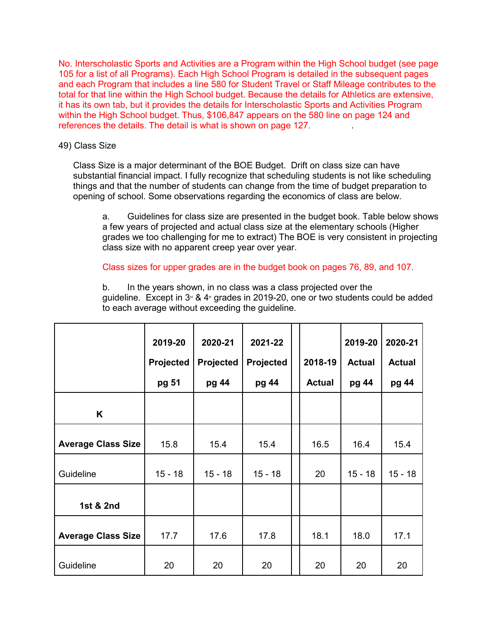No. Interscholastic Sports and Activities are a Program within the High School budget (see page 105 for a list of all Programs). Each High School Program is detailed in the subsequent pages and each Program that includes a line 580 for Student Travel or Staff Mileage contributes to the total for that line within the High School budget. Because the details for Athletics are extensive, it has its own tab, but it provides the details for Interscholastic Sports and Activities Program within the High School budget. Thus, \$106,847 appears on the 580 line on page 124 and references the details. The detail is what is shown on page 127.

## 49) Class Size

Class Size is a major determinant of the BOE Budget. Drift on class size can have substantial financial impact. I fully recognize that scheduling students is not like scheduling things and that the number of students can change from the time of budget preparation to opening of school. Some observations regarding the economics of class are below.

a. Guidelines for class size are presented in the budget book. Table below shows a few years of projected and actual class size at the elementary schools (Higher grades we too challenging for me to extract) The BOE is very consistent in projecting class size with no apparent creep year over year.

## Class sizes for upper grades are in the budget book on pages 76, 89, and 107.

b. In the years shown, in no class was a class projected over the guideline. Except in  $3<sup>d</sup>$  & 4<sup>th</sup> grades in 2019-20, one or two students could be added to each average without exceeding the guideline.

|                           | 2019-20<br>Projected | 2020-21<br>Projected | 2021-22<br>Projected | 2018-19       | 2019-20<br><b>Actual</b> | 2020-21<br><b>Actual</b> |
|---------------------------|----------------------|----------------------|----------------------|---------------|--------------------------|--------------------------|
|                           | pg 51                | pg 44                | pg 44                | <b>Actual</b> | pg 44                    | pg 44                    |
| K                         |                      |                      |                      |               |                          |                          |
| <b>Average Class Size</b> | 15.8                 | 15.4                 | 15.4                 | 16.5          | 16.4                     | 15.4                     |
| Guideline                 | $15 - 18$            | $15 - 18$            | $15 - 18$            | 20            | $15 - 18$                | $15 - 18$                |
| 1st & 2nd                 |                      |                      |                      |               |                          |                          |
| <b>Average Class Size</b> | 17.7                 | 17.6                 | 17.8                 | 18.1          | 18.0                     | 17.1                     |
| Guideline                 | 20                   | 20                   | 20                   | 20            | 20                       | 20                       |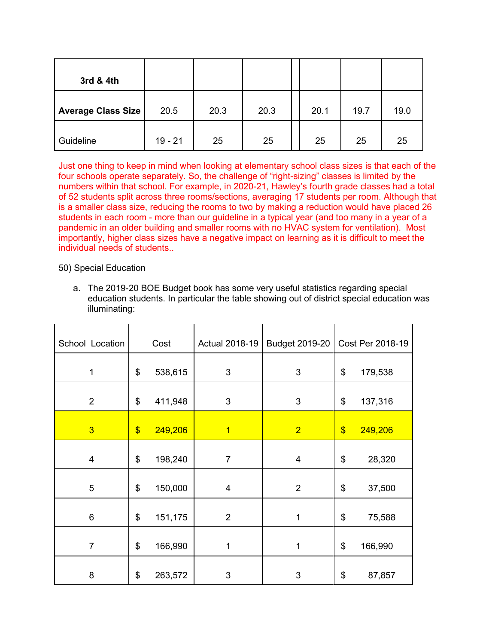| 3rd & 4th                 |           |      |      |      |      |      |
|---------------------------|-----------|------|------|------|------|------|
| <b>Average Class Size</b> | 20.5      | 20.3 | 20.3 | 20.1 | 19.7 | 19.0 |
| Guideline                 | $19 - 21$ | 25   | 25   | 25   | 25   | 25   |

Just one thing to keep in mind when looking at elementary school class sizes is that each of the four schools operate separately. So, the challenge of "right-sizing" classes is limited by the numbers within that school. For example, in 2020-21, Hawley's fourth grade classes had a total of 52 students split across three rooms/sections, averaging 17 students per room. Although that is a smaller class size, reducing the rooms to two by making a reduction would have placed 26 students in each room - more than our guideline in a typical year (and too many in a year of a pandemic in an older building and smaller rooms with no HVAC system for ventilation). Most importantly, higher class sizes have a negative impact on learning as it is difficult to meet the individual needs of students..

50) Special Education

a. The 2019-20 BOE Budget book has some very useful statistics regarding special education students. In particular the table showing out of district special education was illuminating:

| School Location |                   | Cost    | <b>Actual 2018-19</b> | Budget 2019-20 |               | Cost Per 2018-19 |
|-----------------|-------------------|---------|-----------------------|----------------|---------------|------------------|
| $\mathbf{1}$    | \$                | 538,615 | 3                     | 3              | \$            | 179,538          |
| $\overline{2}$  | \$                | 411,948 | 3                     | 3              | \$            | 137,316          |
| $\overline{3}$  | $\boldsymbol{\$}$ | 249,206 | $\overline{1}$        | $\overline{2}$ | $\frac{1}{2}$ | 249,206          |
| 4               | \$                | 198,240 | $\overline{7}$        | 4              | \$            | 28,320           |
| 5               | \$                | 150,000 | $\overline{4}$        | $\overline{2}$ | \$            | 37,500           |
| 6               | \$                | 151,175 | $\overline{2}$        | $\mathbf 1$    | \$            | 75,588           |
| $\overline{7}$  | \$                | 166,990 | 1                     | 1              | \$            | 166,990          |
| 8               | \$                | 263,572 | 3                     | 3              | \$            | 87,857           |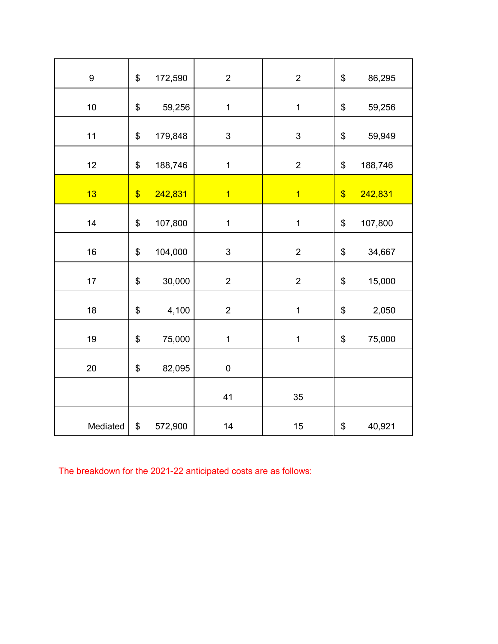| 9        | \$                        | 172,590 | $\overline{2}$            | $\overline{2}$            | \$            | 86,295  |
|----------|---------------------------|---------|---------------------------|---------------------------|---------------|---------|
| $10$     | \$                        | 59,256  | $\mathbf 1$               | $\mathbf 1$               | \$            | 59,256  |
| 11       | \$                        | 179,848 | $\ensuremath{\mathsf{3}}$ | $\ensuremath{\mathsf{3}}$ | \$            | 59,949  |
| 12       | \$                        | 188,746 | $\mathbf 1$               | $\overline{2}$            | \$            | 188,746 |
| 13       | $\boldsymbol{\mathsf{S}}$ | 242,831 | $\overline{1}$            | $\overline{1}$            | $\frac{1}{2}$ | 242,831 |
| 14       | \$                        | 107,800 | $\mathbf 1$               | $\mathbf 1$               | \$            | 107,800 |
| 16       | \$                        | 104,000 | $\ensuremath{\mathsf{3}}$ | $\mathbf{2}$              | \$            | 34,667  |
| 17       | \$                        | 30,000  | $\overline{2}$            | $\overline{2}$            | \$            | 15,000  |
| 18       | \$                        | 4,100   | $\overline{2}$            | $\mathbf 1$               | \$            | 2,050   |
| 19       | \$                        | 75,000  | $\mathbf 1$               | $\mathbf 1$               | \$            | 75,000  |
| 20       | \$                        | 82,095  | $\pmb{0}$                 |                           |               |         |
|          |                           |         | 41                        | 35                        |               |         |
| Mediated | \$                        | 572,900 | 14                        | 15                        | \$            | 40,921  |

The breakdown for the 2021-22 anticipated costs are as follows: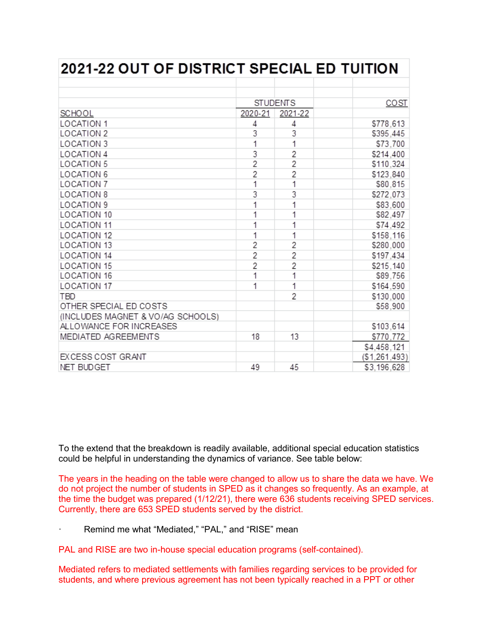| <b>2021-22 OUT OF DISTRICT SPECIAL ED TUITION</b> |                |                          |  |               |
|---------------------------------------------------|----------------|--------------------------|--|---------------|
|                                                   |                |                          |  |               |
|                                                   |                |                          |  |               |
|                                                   |                | <b>STUDENTS</b>          |  | <b>COST</b>   |
| <b>SCHOOL</b>                                     | 2020-21        | 2021-22                  |  |               |
| <b>LOCATION 1</b>                                 | 4              | 4                        |  | \$778,613     |
| <b>LOCATION 2</b>                                 | 3              | 3                        |  | \$395,445     |
| <b>LOCATION 3</b>                                 | 1              | 1                        |  | \$73,700      |
| <b>LOCATION 4</b>                                 | 3              | 2                        |  | \$214,400     |
| <b>LOCATION 5</b>                                 | $\overline{2}$ | $\overline{2}$           |  | \$110,324     |
| <b>LOCATION 6</b>                                 | $\overline{2}$ | $\overline{2}$           |  | \$123.840     |
| <b>LOCATION 7</b>                                 | 1              | 1                        |  | \$80,815      |
| <b>LOCATION 8</b>                                 | 3              | 3                        |  | \$272,073     |
| LOCATION 9                                        | 1              | 1                        |  | \$83,600      |
| <b>LOCATION 10</b>                                | 1              | 1                        |  | \$82,497      |
| <b>LOCATION 11</b>                                | 1              | 1                        |  | \$74,492      |
| <b>LOCATION 12</b>                                | 1              | 1                        |  | \$158,116     |
| <b>LOCATION 13</b>                                | $\overline{2}$ | $\overline{2}$           |  | \$280,000     |
| <b>LOCATION 14</b>                                | $\overline{2}$ | $\overline{2}$           |  | \$197,434     |
| <b>LOCATION 15</b>                                | 2              | $\overline{2}$           |  | \$215,140     |
| <b>LOCATION 16</b>                                | 1              | 1                        |  | \$89,756      |
| <b>LOCATION 17</b>                                | 1              | 1                        |  | \$164,590     |
| <b>TBD</b>                                        |                | $\overline{\phantom{a}}$ |  | \$130,000     |
| OTHER SPECIAL ED COSTS                            |                |                          |  | \$58,900      |
| (INCLUDES MAGNET & VO/AG SCHOOLS)                 |                |                          |  |               |
| ALLOWANCE FOR INCREASES                           |                |                          |  | \$103,614     |
| MEDIATED AGREEMENTS                               | 18             | 13                       |  | \$770,772     |
|                                                   |                |                          |  | \$4,458,121   |
| EXCESS COST GRANT                                 |                |                          |  | (\$1,261,493) |
| <b>NET BUDGET</b>                                 | 49             | 45                       |  | \$3.196.628   |

To the extend that the breakdown is readily available, additional special education statistics could be helpful in understanding the dynamics of variance. See table below:

The years in the heading on the table were changed to allow us to share the data we have. We do not project the number of students in SPED as it changes so frequently. As an example, at the time the budget was prepared (1/12/21), there were 636 students receiving SPED services. Currently, there are 653 SPED students served by the district.

Remind me what "Mediated," "PAL," and "RISE" mean

PAL and RISE are two in-house special education programs (self-contained).

Mediated refers to mediated settlements with families regarding services to be provided for students, and where previous agreement has not been typically reached in a PPT or other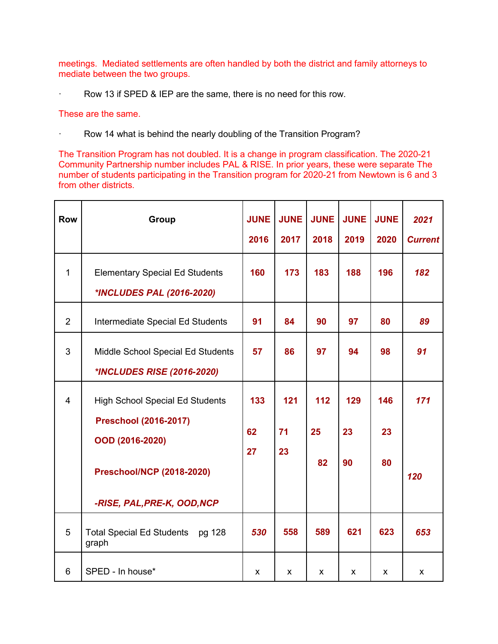meetings. Mediated settlements are often handled by both the district and family attorneys to mediate between the two groups.

Row 13 if SPED & IEP are the same, there is no need for this row.

#### These are the same.

· Row 14 what is behind the nearly doubling of the Transition Program?

The Transition Program has not doubled. It is a change in program classification. The 2020-21 Community Partnership number includes PAL & RISE. In prior years, these were separate The number of students participating in the Transition program for 2020-21 from Newtown is 6 and 3 from other districts.

| <b>Row</b>     | <b>Group</b>                                                       | <b>JUNE</b> | <b>JUNE</b> | <b>JUNE</b> | <b>JUNE</b> | <b>JUNE</b> | 2021           |
|----------------|--------------------------------------------------------------------|-------------|-------------|-------------|-------------|-------------|----------------|
|                |                                                                    | 2016        | 2017        | 2018        | 2019        | 2020        | <b>Current</b> |
| $\mathbf{1}$   | <b>Elementary Special Ed Students</b><br>*INCLUDES PAL (2016-2020) | 160         | 173         | 183         | 188         | 196         | 182            |
| $\overline{2}$ | Intermediate Special Ed Students                                   | 91          | 84          | 90          | 97          | 80          | 89             |
| 3              | Middle School Special Ed Students                                  | 57          | 86          | 97          | 94          | 98          | 91             |
|                | <i><b>*INCLUDES RISE (2016-2020)</b></i>                           |             |             |             |             |             |                |
| $\overline{4}$ | <b>High School Special Ed Students</b>                             | 133         | 121         | 112         | 129         | 146         | 171            |
|                | <b>Preschool (2016-2017)</b><br>OOD (2016-2020)                    |             |             |             |             |             |                |
|                |                                                                    |             | 71          | 25          | 23          | 23          |                |
|                |                                                                    | 27          | 23          |             |             |             |                |
|                | <b>Preschool/NCP (2018-2020)</b>                                   |             |             | 82          | 90          | 80          | 120            |
|                | -RISE, PAL, PRE-K, OOD, NCP                                        |             |             |             |             |             |                |
| 5              | <b>Total Special Ed Students</b><br>pg 128<br>graph                | 530         | 558         | 589         | 621         | 623         | 653            |
| 6              | SPED - In house*                                                   | X           | X           | X.          | X           | X           | X              |